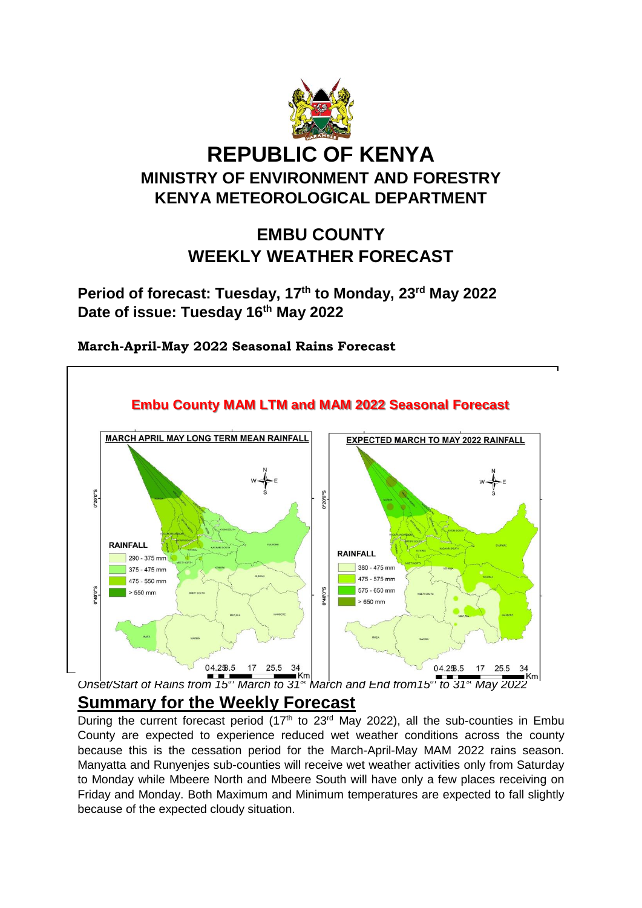

# **REPUBLIC OF KENYA MINISTRY OF ENVIRONMENT AND FORESTRY KENYA METEOROLOGICAL DEPARTMENT**

## **EMBU COUNTY WEEKLY WEATHER FORECAST**

**Period of forecast: Tuesday, 17th to Monday, 23rd May 2022 Date of issue: Tuesday 16th May 2022**



**March-April-May 2022 Seasonal Rains Forecast**

*Onset/Start of Rains from 15th March to 31st March and End from15th to 31st May 2022* **Summary for the Weekly Forecast**

During the current forecast period  $(17<sup>th</sup>$  to 23<sup>rd</sup> May 2022), all the sub-counties in Embu County are expected to experience reduced wet weather conditions across the county because this is the cessation period for the March-April-May MAM 2022 rains season. Manyatta and Runyenjes sub-counties will receive wet weather activities only from Saturday to Monday while Mbeere North and Mbeere South will have only a few places receiving on Friday and Monday. Both Maximum and Minimum temperatures are expected to fall slightly because of the expected cloudy situation.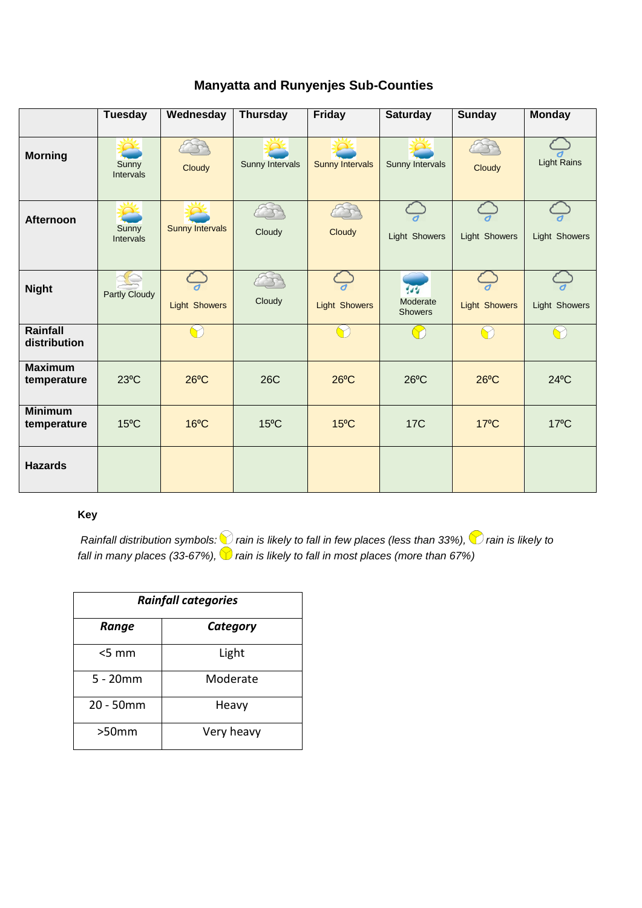|  |  | <b>Manyatta and Runyenjes Sub-Counties</b> |
|--|--|--------------------------------------------|
|--|--|--------------------------------------------|

|                               | <b>Tuesday</b>            | Wednesday              | <b>Thursday</b> | Friday                 | <b>Saturday</b>                               | <b>Sunday</b>        | <b>Monday</b>      |
|-------------------------------|---------------------------|------------------------|-----------------|------------------------|-----------------------------------------------|----------------------|--------------------|
| <b>Morning</b>                | Sunny<br><b>Intervals</b> | Cloudy                 | Sunny Intervals | <b>Sunny Intervals</b> | Sunny Intervals                               | Cloudy               | <b>Light Rains</b> |
| <b>Afternoon</b>              | Sunny<br>Intervals        | <b>Sunny Intervals</b> | Cloudy          | Cloudy                 | <b>Light Showers</b>                          | Light Showers        | Light Showers      |
| <b>Night</b>                  | <b>Partly Cloudy</b>      | <b>Light Showers</b>   | Cloudy          | <b>Light Showers</b>   | $\overline{44}$<br>Moderate<br><b>Showers</b> | <b>Light Showers</b> | Light Showers      |
| Rainfall<br>distribution      |                           |                        |                 |                        |                                               |                      |                    |
| <b>Maximum</b><br>temperature | $23^{\circ}$ C            | $26^{\circ}$ C         | <b>26C</b>      | $26^{\circ}$ C         | $26^{\circ}$ C                                | $26^{\circ}$ C       | $24^{\circ}$ C     |
| <b>Minimum</b><br>temperature | $15^{\circ}$ C            | $16^{\circ}$ C         | $15^{\circ}$ C  | $15^{\circ}$ C         | <b>17C</b>                                    | $17^{\circ}$ C       | $17^{\circ}$ C     |
| <b>Hazards</b>                |                           |                        |                 |                        |                                               |                      |                    |

#### **Key**

*Rainfall distribution symbols: inain is likely to fall in few places (less than 33%), inain is likely to fall in many places (33-67%),*  $\blacktriangledown$  *rain is likely to fall in most places (more than 67%)* 

| <b>Rainfall categories</b> |            |  |  |
|----------------------------|------------|--|--|
| Range                      | Category   |  |  |
| $<$ 5 mm                   | Light      |  |  |
| $5 - 20$ mm                | Moderate   |  |  |
| 20 - 50mm                  | Heavy      |  |  |
| >50mm                      | Very heavy |  |  |